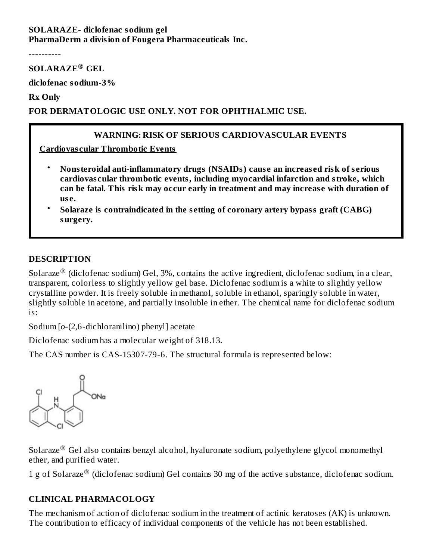#### **SOLARAZE- diclofenac sodium gel PharmaDerm a division of Fougera Pharmaceuticals Inc.**

----------

#### **SOLARAZE GEL ®**

**diclofenac sodium-3%**

**Rx Only**

#### **FOR DERMATOLOGIC USE ONLY. NOT FOR OPHTHALMIC USE.**

#### **WARNING: RISK OF SERIOUS CARDIOVASCULAR EVENTS**

**Cardiovas cular Thrombotic Events**

- **Nonsteroidal anti-inflammatory drugs (NSAIDs) caus e an increas ed risk of s erious cardiovas cular thrombotic events, including myocardial infarction and stroke, which can be fatal. This risk may occur early in treatment and may increas e with duration of us e.**
- **Solaraze is contraindicated in the s etting of coronary artery bypass graft (CABG) surgery.**

#### **DESCRIPTION**

Solaraze $^{\circledR}$  (diclofenac sodium) Gel, 3%, contains the active ingredient, diclofenac sodium, in a clear, transparent, colorless to slightly yellow gel base. Diclofenac sodium is a white to slightly yellow crystalline powder. It is freely soluble in methanol, soluble in ethanol, sparingly soluble in water, slightly soluble in acetone, and partially insoluble in ether. The chemical name for diclofenac sodium is:

Sodium [*o*-(2,6-dichloranilino) phenyl] acetate

Diclofenac sodium has a molecular weight of 318.13.

The CAS number is CAS-15307-79-6. The structural formula is represented below:



Solaraze $^{\circledR}$  Gel also contains benzyl alcohol, hyaluronate sodium, polyethylene glycol monomethyl ether, and purified water.

1 g of Solaraze $^{\circledR}$  (diclofenac sodium) Gel contains 30 mg of the active substance, diclofenac sodium.

#### **CLINICAL PHARMACOLOGY**

The mechanism of action of diclofenac sodium in the treatment of actinic keratoses (AK) is unknown. The contribution to efficacy of individual components of the vehicle has not been established.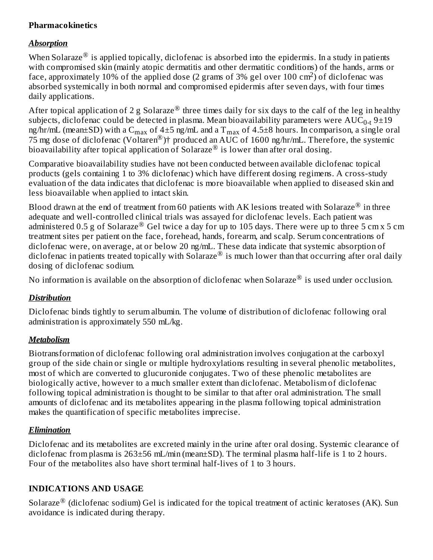# **Pharmacokinetics**

#### *Absorption*

When Solaraze $^\circledR$  is applied topically, diclofenac is absorbed into the epidermis. In a study in patients with compromised skin (mainly atopic dermatitis and other dermatitic conditions) of the hands, arms or face, approximately 10% of the applied dose (2 grams of 3% gel over 100 cm<sup>2</sup>) of diclofenac was absorbed systemically in both normal and compromised epidermis after seven days, with four times daily applications.

After topical application of 2 g Solaraze $^{\circledR}$  three times daily for six days to the calf of the leg in healthy subjects, diclofenac could be detected in plasma. Mean bioavailability parameters were  $\mathrm{AUC_{0\text{-}t}\,9{\pm}19}$ ng/hr/mL (mean $\pm$ SD) with a C $_{\rm max}$  of 4 $\pm$ 5 ng/mL and a T $_{\rm max}$  of 4.5 $\pm$ 8 hours. In comparison, a single oral 75 mg dose of diclofenac (Voltaren<sup>®</sup>)† produced an AUC of 1600 ng/hr/mL. Therefore, the systemic bioavailability after topical application of Solaraze $^{\circledR}$  is lower than after oral dosing.

Comparative bioavailability studies have not been conducted between available diclofenac topical products (gels containing 1 to 3% diclofenac) which have different dosing regimens. A cross-study evaluation of the data indicates that diclofenac is more bioavailable when applied to diseased skin and less bioavailable when applied to intact skin.

Blood drawn at the end of treatment from 60 patients with AK lesions treated with Solaraze $^\circledR$  in three adequate and well-controlled clinical trials was assayed for diclofenac levels. Each patient was administered 0.5 g of Solaraze® Gel twice a day for up to 105 days. There were up to three 5 cm x 5 cm treatment sites per patient on the face, forehead, hands, forearm, and scalp. Serum concentrations of diclofenac were, on average, at or below 20 ng/mL. These data indicate that systemic absorption of diclofenac in patients treated topically with Solaraze $^{\circledR}$  is much lower than that occurring after oral daily dosing of diclofenac sodium.

No information is available on the absorption of diclofenac when Solaraze $^\circledR$  is used under occlusion.

# *Distribution*

Diclofenac binds tightly to serum albumin. The volume of distribution of diclofenac following oral administration is approximately 550 mL/kg.

# *Metabolism*

Biotransformation of diclofenac following oral administration involves conjugation at the carboxyl group of the side chain or single or multiple hydroxylations resulting in several phenolic metabolites, most of which are converted to glucuronide conjugates. Two of these phenolic metabolites are biologically active, however to a much smaller extent than diclofenac. Metabolism of diclofenac following topical administration is thought to be similar to that after oral administration. The small amounts of diclofenac and its metabolites appearing in the plasma following topical administration makes the quantification of specific metabolites imprecise.

# *Elimination*

Diclofenac and its metabolites are excreted mainly in the urine after oral dosing. Systemic clearance of diclofenac from plasma is 263±56 mL/min (mean±SD). The terminal plasma half-life is 1 to 2 hours. Four of the metabolites also have short terminal half-lives of 1 to 3 hours.

# **INDICATIONS AND USAGE**

Solaraze $^{\circledR}$  (diclofenac sodium) Gel is indicated for the topical treatment of actinic keratoses (AK). Sun avoidance is indicated during therapy.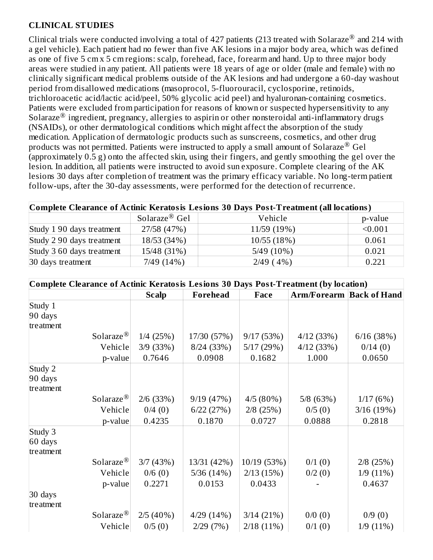# **CLINICAL STUDIES**

Clinical trials were conducted involving a total of 427 patients (213 treated with Solaraze $^{\circledR}$  and 214 with a gel vehicle). Each patient had no fewer than five AK lesions in a major body area, which was defined as one of five 5 cm x 5 cm regions: scalp, forehead, face, forearm and hand. Up to three major body areas were studied in any patient. All patients were 18 years of age or older (male and female) with no clinically significant medical problems outside of the AK lesions and had undergone a 60-day washout period from disallowed medications (masoprocol, 5-fluorouracil, cyclosporine, retinoids, trichloroacetic acid/lactic acid/peel, 50% glycolic acid peel) and hyaluronan-containing cosmetics. Patients were excluded from participation for reasons of known or suspected hypersensitivity to any Solaraze<sup>®</sup> ingredient, pregnancy, allergies to aspirin or other nonsteroidal anti-inflammatory drugs (NSAIDs), or other dermatological conditions which might affect the absorption of the study medication. Application of dermatologic products such as sunscreens, cosmetics, and other drug products was not permitted. Patients were instructed to apply a small amount of Solaraze<sup>®</sup> Gel (approximately 0.5 g) onto the affected skin, using their fingers, and gently smoothing the gel over the lesion. In addition, all patients were instructed to avoid sun exposure. Complete clearing of the AK lesions 30 days after completion of treatment was the primary efficacy variable. No long-term patient follow-ups, after the 30-day assessments, were performed for the detection of recurrence.

| Complete Clearance of Actinic Keratosis Lesions 30 Days Post-Treatment (all locations) |             |              |         |  |  |
|----------------------------------------------------------------------------------------|-------------|--------------|---------|--|--|
| Solaraze <sup>®</sup> Gel<br>p-value<br>Vehicle                                        |             |              |         |  |  |
| Study 1 90 days treatment                                                              | 27/58 (47%) | 11/59 (19%)  | < 0.001 |  |  |
| Study 2 90 days treatment                                                              | 18/53 (34%) | 10/55(18%)   | 0.061   |  |  |
| Study 3 60 days treatment                                                              | 15/48 (31%) | $5/49(10\%)$ | 0.021   |  |  |
| 7/49(14%)<br>30 days treatment<br>2/49(4%)<br>0.221                                    |             |              |         |  |  |

| Complete Clearance of Actinic Keratosis Lesions 30 Days Post-Treatment (by location) |                                                                              |             |             |           |             |  |  |
|--------------------------------------------------------------------------------------|------------------------------------------------------------------------------|-------------|-------------|-----------|-------------|--|--|
|                                                                                      | <b>Forehead</b><br><b>Arm/Forearm   Back of Hand</b><br><b>Scalp</b><br>Face |             |             |           |             |  |  |
| Study 1                                                                              |                                                                              |             |             |           |             |  |  |
| 90 days                                                                              |                                                                              |             |             |           |             |  |  |
| treatment                                                                            |                                                                              |             |             |           |             |  |  |
| Solaraze <sup>®</sup>                                                                | $1/4$ (25%)                                                                  | 17/30 (57%) | 9/17(53%)   | 4/12(33%) | 6/16(38%)   |  |  |
| Vehicle                                                                              | $3/9$ (33%)                                                                  | 8/24(33%)   | 5/17(29%)   | 4/12(33%) | 0/14(0)     |  |  |
| p-value                                                                              | 0.7646                                                                       | 0.0908      | 0.1682      | 1.000     | 0.0650      |  |  |
| Study 2                                                                              |                                                                              |             |             |           |             |  |  |
| 90 days                                                                              |                                                                              |             |             |           |             |  |  |
| treatment                                                                            |                                                                              |             |             |           |             |  |  |
| Solaraze <sup>®</sup>                                                                | $2/6$ (33%)                                                                  | 9/19(47%)   | 4/5(80%)    | 5/8(63%)  | 1/17(6%)    |  |  |
| Vehicle                                                                              | 0/4(0)                                                                       | 6/22(27%)   | $2/8$ (25%) | 0/5(0)    | 3/16(19%)   |  |  |
| p-value                                                                              | 0.4235                                                                       | 0.1870      | 0.0727      | 0.0888    | 0.2818      |  |  |
| Study 3                                                                              |                                                                              |             |             |           |             |  |  |
| 60 days                                                                              |                                                                              |             |             |           |             |  |  |
| treatment                                                                            |                                                                              |             |             |           |             |  |  |
| Solaraze <sup>®</sup>                                                                | 3/7(43%)                                                                     | 13/31 (42%) | 10/19 (53%) | 0/1(0)    | $2/8$ (25%) |  |  |
| Vehicle                                                                              | 0/6(0)                                                                       | 5/36(14%)   | 2/13(15%)   | 0/2(0)    | 1/9(11%)    |  |  |
| p-value                                                                              | 0.2271                                                                       | 0.0153      | 0.0433      |           | 0.4637      |  |  |
| 30 days                                                                              |                                                                              |             |             |           |             |  |  |
| treatment                                                                            |                                                                              |             |             |           |             |  |  |
| Solaraze <sup>®</sup>                                                                | 2/5(40%)                                                                     | 4/29(14%)   | 3/14(21%)   | 0/0(0)    | 0/9(0)      |  |  |
| Vehicle                                                                              | 0/5(0)                                                                       | 2/29(7%)    | 2/18(11%)   | 0/1(0)    | 1/9(11%)    |  |  |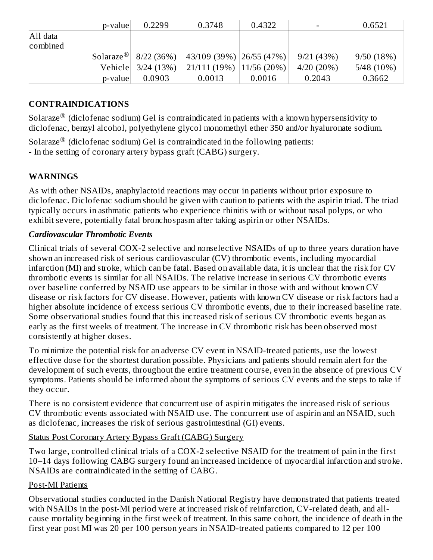|          | p-value | 0.2299                           | 0.3748                           | 0.4322 |              | 0.6521       |
|----------|---------|----------------------------------|----------------------------------|--------|--------------|--------------|
| All data |         |                                  |                                  |        |              |              |
| combined |         |                                  |                                  |        |              |              |
|          |         | Solaraze <sup>®</sup> 8/22 (36%) | $\vert$ 43/109 (39%) 26/55 (47%) |        | 9/21(43%)    | 9/50(18%)    |
|          |         | Vehicle 3/24 (13%)               | $21/111(19\%)$   11/56 (20%)     |        | $4/20(20\%)$ | $5/48(10\%)$ |
|          | p-value | 0.0903                           | 0.0013                           | 0.0016 | 0.2043       | 0.3662       |

#### **CONTRAINDICATIONS**

Solaraze $^{\circledR}$  (diclofenac sodium) Gel is contraindicated in patients with a known hypersensitivity to diclofenac, benzyl alcohol, polyethylene glycol monomethyl ether 350 and/or hyaluronate sodium.

Solaraze $^{\circledR}$  (diclofenac sodium) Gel is contraindicated in the following patients: - In the setting of coronary artery bypass graft (CABG) surgery.

#### **WARNINGS**

As with other NSAIDs, anaphylactoid reactions may occur in patients without prior exposure to diclofenac. Diclofenac sodium should be given with caution to patients with the aspirin triad. The triad typically occurs in asthmatic patients who experience rhinitis with or without nasal polyps, or who exhibit severe, potentially fatal bronchospasm after taking aspirin or other NSAIDs.

#### *Cardiovascular Thrombotic Events*

Clinical trials of several COX-2 selective and nonselective NSAIDs of up to three years duration have shown an increased risk of serious cardiovascular (CV) thrombotic events, including myocardial infarction (MI) and stroke, which can be fatal. Based on available data, it is unclear that the risk for CV thrombotic events is similar for all NSAIDs. The relative increase in serious CV thrombotic events over baseline conferred by NSAID use appears to be similar in those with and without known CV disease or risk factors for CV disease. However, patients with known CV disease or risk factors had a higher absolute incidence of excess serious CV thrombotic events, due to their increased baseline rate. Some observational studies found that this increased risk of serious CV thrombotic events began as early as the first weeks of treatment. The increase in CV thrombotic risk has been observed most consistently at higher doses.

To minimize the potential risk for an adverse CV event in NSAID-treated patients, use the lowest effective dose for the shortest duration possible. Physicians and patients should remain alert for the development of such events, throughout the entire treatment course, even in the absence of previous CV symptoms. Patients should be informed about the symptoms of serious CV events and the steps to take if they occur.

There is no consistent evidence that concurrent use of aspirin mitigates the increased risk of serious CV thrombotic events associated with NSAID use. The concurrent use of aspirin and an NSAID, such as diclofenac, increases the risk of serious gastrointestinal (GI) events.

#### Status Post Coronary Artery Bypass Graft (CABG) Surgery

Two large, controlled clinical trials of a COX-2 selective NSAID for the treatment of pain in the first 10–14 days following CABG surgery found an increased incidence of myocardial infarction and stroke. NSAIDs are contraindicated in the setting of CABG.

#### Post-MI Patients

Observational studies conducted in the Danish National Registry have demonstrated that patients treated with NSAIDs in the post-MI period were at increased risk of reinfarction, CV-related death, and allcause mortality beginning in the first week of treatment. In this same cohort, the incidence of death in the first year post MI was 20 per 100 person years in NSAID-treated patients compared to 12 per 100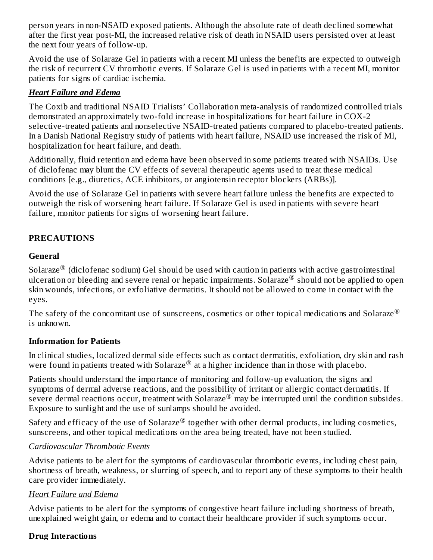person years in non-NSAID exposed patients. Although the absolute rate of death declined somewhat after the first year post-MI, the increased relative risk of death in NSAID users persisted over at least the next four years of follow-up.

Avoid the use of Solaraze Gel in patients with a recent MI unless the benefits are expected to outweigh the risk of recurrent CV thrombotic events. If Solaraze Gel is used in patients with a recent MI, monitor patients for signs of cardiac ischemia.

#### *Heart Failure and Edema*

The Coxib and traditional NSAID Trialists' Collaboration meta-analysis of randomized controlled trials demonstrated an approximately two-fold increase in hospitalizations for heart failure in COX-2 selective-treated patients and nonselective NSAID-treated patients compared to placebo-treated patients. In a Danish National Registry study of patients with heart failure, NSAID use increased the risk of MI, hospitalization for heart failure, and death.

Additionally, fluid retention and edema have been observed in some patients treated with NSAIDs. Use of diclofenac may blunt the CV effects of several therapeutic agents used to treat these medical conditions [e.g., diuretics, ACE inhibitors, or angiotensin receptor blockers (ARBs)].

Avoid the use of Solaraze Gel in patients with severe heart failure unless the benefits are expected to outweigh the risk of worsening heart failure. If Solaraze Gel is used in patients with severe heart failure, monitor patients for signs of worsening heart failure.

# **PRECAUTIONS**

# **General**

Solaraze $^{\circledR}$  (diclofenac sodium) Gel should be used with caution in patients with active gastrointestinal ulceration or bleeding and severe renal or hepatic impairments. Solaraze $^{\circledR}$  should not be applied to open skin wounds, infections, or exfoliative dermatitis. It should not be allowed to come in contact with the eyes.

The safety of the concomitant use of sunscreens, cosmetics or other topical medications and Solaraze  $^\circledR$ is unknown.

# **Information for Patients**

In clinical studies, localized dermal side effects such as contact dermatitis, exfoliation, dry skin and rash were found in patients treated with Solaraze $^{\circledR}$  at a higher incidence than in those with placebo.

Patients should understand the importance of monitoring and follow-up evaluation, the signs and symptoms of dermal adverse reactions, and the possibility of irritant or allergic contact dermatitis. If severe dermal reactions occur, treatment with Solaraze<sup>®</sup> may be interrupted until the condition subsides. Exposure to sunlight and the use of sunlamps should be avoided.

Safety and efficacy of the use of Solaraze $^{\circledR}$  together with other dermal products, including cosmetics, sunscreens, and other topical medications on the area being treated, have not been studied.

#### *Cardiovascular Thrombotic Events*

Advise patients to be alert for the symptoms of cardiovascular thrombotic events, including chest pain, shortness of breath, weakness, or slurring of speech, and to report any of these symptoms to their health care provider immediately.

#### *Heart Failure and Edema*

Advise patients to be alert for the symptoms of congestive heart failure including shortness of breath, unexplained weight gain, or edema and to contact their healthcare provider if such symptoms occur.

#### **Drug Interactions**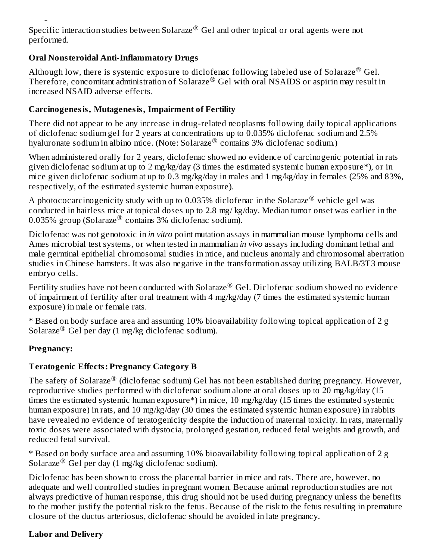Specific interaction studies between Solaraze $^\circledR$  Gel and other topical or oral agents were not performed.

#### **Oral Nonsteroidal Anti-Inflammatory Drugs**

**Drug Interactions**

Although low, there is systemic exposure to diclofenac following labeled use of Solaraze $^{\circledR}$  Gel. Therefore, concomitant administration of Solaraze® Gel with oral NSAIDS or aspirin may result in increased NSAID adverse effects.

#### **Carcinogenesis, Mutagenesis, Impairment of Fertility**

There did not appear to be any increase in drug-related neoplasms following daily topical applications of diclofenac sodium gel for 2 years at concentrations up to 0.035% diclofenac sodium and 2.5% hyaluronate sodium in albino mice. (Note: Solaraze® contains 3% diclofenac sodium.)

When administered orally for 2 years, diclofenac showed no evidence of carcinogenic potential in rats given diclofenac sodium at up to 2 mg/kg/day (3 times the estimated systemic human exposure\*), or in mice given diclofenac sodium at up to 0.3 mg/kg/day in males and 1 mg/kg/day in females (25% and 83%, respectively, of the estimated systemic human exposure).

A photococarcinogenicity study with up to 0.035% diclofenac in the Solaraze $^\circledR$  vehicle gel was conducted in hairless mice at topical doses up to 2.8 mg/ kg/day. Median tumor onset was earlier in the 0.035% group (Solaraze® contains 3% diclofenac sodium).

Diclofenac was not genotoxic in *in vitro* point mutation assays in mammalian mouse lymphoma cells and Ames microbial test systems, or when tested in mammalian *in vivo* assays including dominant lethal and male germinal epithelial chromosomal studies in mice, and nucleus anomaly and chromosomal aberration studies in Chinese hamsters. It was also negative in the transformation assay utilizing BALB/3T3 mouse embryo cells.

Fertility studies have not been conducted with Solaraze $^\circledR$  Gel. Diclofenac sodium showed no evidence of impairment of fertility after oral treatment with 4 mg/kg/day (7 times the estimated systemic human exposure) in male or female rats.

\* Based on body surface area and assuming 10% bioavailability following topical application of 2 g Solaraze $^{\circledR}$  Gel per day (1 mg/kg diclofenac sodium).

# **Pregnancy:**

# **Teratogenic Effects: Pregnancy Category B**

The safety of Solaraze $^\circledR$  (diclofenac sodium) Gel has not been established during pregnancy. However, reproductive studies performed with diclofenac sodium alone at oral doses up to 20 mg/kg/day (15 times the estimated systemic human exposure\*) in mice, 10 mg/kg/day (15 times the estimated systemic human exposure) in rats, and 10 mg/kg/day (30 times the estimated systemic human exposure) in rabbits have revealed no evidence of teratogenicity despite the induction of maternal toxicity. In rats, maternally toxic doses were associated with dystocia, prolonged gestation, reduced fetal weights and growth, and reduced fetal survival.

\* Based on body surface area and assuming 10% bioavailability following topical application of 2 g Solaraze $^{\circledR}$  Gel per day (1 mg/kg diclofenac sodium).

Diclofenac has been shown to cross the placental barrier in mice and rats. There are, however, no adequate and well controlled studies in pregnant women. Because animal reproduction studies are not always predictive of human response, this drug should not be used during pregnancy unless the benefits to the mother justify the potential risk to the fetus. Because of the risk to the fetus resulting in premature closure of the ductus arteriosus, diclofenac should be avoided in late pregnancy.

# **Labor and Delivery**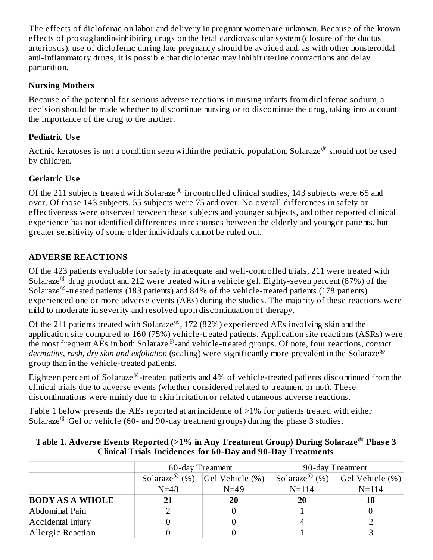The effects of diclofenac on labor and delivery in pregnant women are unknown. Because of the known effects of prostaglandin-inhibiting drugs on the fetal cardiovascular system (closure of the ductus arteriosus), use of diclofenac during late pregnancy should be avoided and, as with other nonsteroidal anti-inflammatory drugs, it is possible that diclofenac may inhibit uterine contractions and delay parturition.

#### **Nursing Mothers**

Because of the potential for serious adverse reactions in nursing infants from diclofenac sodium, a decision should be made whether to discontinue nursing or to discontinue the drug, taking into account the importance of the drug to the mother.

#### **Pediatric Us e**

Actinic keratoses is not a condition seen within the pediatric population. Solaraze $^\circledR$  should not be used by children.

# **Geriatric Us e**

Of the 211 subjects treated with Solaraze $^{\circledR}$  in controlled clinical studies, 143 subjects were 65 and over. Of those 143 subjects, 55 subjects were 75 and over. No overall differences in safety or effectiveness were observed between these subjects and younger subjects, and other reported clinical experience has not identified differences in responses between the elderly and younger patients, but greater sensitivity of some older individuals cannot be ruled out.

# **ADVERSE REACTIONS**

Of the 423 patients evaluable for safety in adequate and well-controlled trials, 211 were treated with Solaraze $^{\circledR}$  drug product and 212 were treated with a vehicle gel. Eighty-seven percent (87%) of the Solaraze<sup>®</sup>-treated patients (183 patients) and 84% of the vehicle-treated patients (178 patients) experienced one or more adverse events (AEs) during the studies. The majority of these reactions were mild to moderate in severity and resolved upon discontinuation of therapy.

Of the 211 patients treated with Solaraze $^{\circledR}$ , 172 (82%) experienced AEs involving skin and the application site compared to 160 (75%) vehicle-treated patients. Application site reactions (ASRs) were the most frequent AEs in both Solaraze<sup>®</sup>-and vehicle-treated groups. Of note, four reactions, *contact dermatitis, rash, dry skin and exfoliation* (scaling) were significantly more prevalent in the Solaraze ® group than in the vehicle-treated patients.

Eighteen percent of Solaraze $^\circledR$ -treated patients and 4% of vehicle-treated patients discontinued from the clinical trials due to adverse events (whether considered related to treatment or not). These discontinuations were mainly due to skin irritation or related cutaneous adverse reactions.

Table 1 below presents the AEs reported at an incidence of >1% for patients treated with either Solaraze<sup>®</sup> Gel or vehicle (60- and 90-day treatment groups) during the phase 3 studies.

|                        | 60-day Treatment                          |        | 90-day Treatment          |                 |  |
|------------------------|-------------------------------------------|--------|---------------------------|-----------------|--|
|                        | Solaraze <sup>®</sup> (%) Gel Vehicle (%) |        | Solaraze <sup>®</sup> (%) | Gel Vehicle (%) |  |
|                        | $N = 48$                                  | $N=49$ | $N = 114$                 | $N = 114$       |  |
| <b>BODY AS A WHOLE</b> |                                           | 20     | 20                        | 18              |  |
| Abdominal Pain         |                                           |        |                           |                 |  |
| Accidental Injury      |                                           |        |                           |                 |  |
| Allergic Reaction      |                                           |        |                           |                 |  |

#### **Table 1. Advers e Events Reported (>1% in Any Treatment Group) During Solaraze Phas e 3 ® Clinical Trials Incidences for 60-Day and 90-Day Treatments**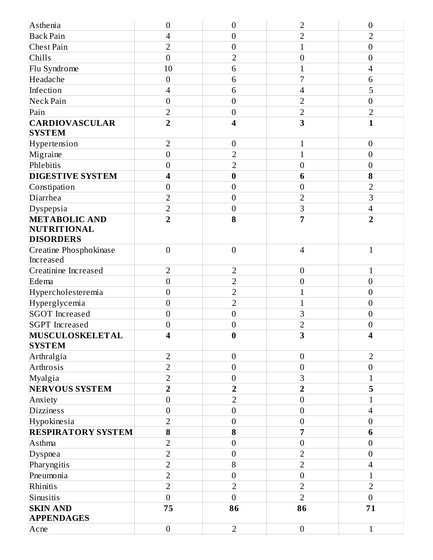| Asthenia                         | $\boldsymbol{0}$         | $\boldsymbol{0}$        | $\overline{2}$          | $\boldsymbol{0}$         |
|----------------------------------|--------------------------|-------------------------|-------------------------|--------------------------|
| <b>Back Pain</b>                 | $\overline{4}$           | $\mathbf{0}$            | $\overline{2}$          | $\overline{2}$           |
| Chest Pain                       | $\overline{2}$           | $\boldsymbol{0}$        | $\mathbf{1}$            | $\boldsymbol{0}$         |
| Chills                           | $\overline{0}$           | $\overline{2}$          | $\boldsymbol{0}$        | $\boldsymbol{0}$         |
| Flu Syndrome                     | 10                       | 6                       | $\mathbf{1}$            | $\overline{\mathcal{A}}$ |
| Headache                         | $\mathbf{0}$             | 6                       | 7                       | 6                        |
| Infection                        | $\overline{\mathcal{A}}$ | 6                       | $\overline{4}$          | 5                        |
| Neck Pain                        | $\boldsymbol{0}$         | $\mathbf{0}$            | $\overline{2}$          | $\boldsymbol{0}$         |
| Pain                             | $\overline{2}$           | $\boldsymbol{0}$        | $\overline{2}$          | $\overline{2}$           |
| <b>CARDIOVASCULAR</b>            | $\overline{2}$           | $\overline{\mathbf{4}}$ | 3                       | $\mathbf{1}$             |
| <b>SYSTEM</b>                    |                          |                         |                         |                          |
| Hypertension                     | $\overline{2}$           | $\boldsymbol{0}$        | $\mathbf{1}$            | $\boldsymbol{0}$         |
| Migraine                         | $\boldsymbol{0}$         | $\overline{2}$          | $\mathbf{1}$            | $\boldsymbol{0}$         |
| Phlebitis                        | $\boldsymbol{0}$         | $\overline{2}$          | $\boldsymbol{0}$        | $\boldsymbol{0}$         |
| <b>DIGESTIVE SYSTEM</b>          | $\overline{\mathbf{4}}$  | $\bf{0}$                | $6\phantom{1}6$         | $\bf{8}$                 |
| Constipation                     | $\boldsymbol{0}$         | $\boldsymbol{0}$        | $\boldsymbol{0}$        | $\overline{2}$           |
| Diarrhea                         | $\overline{2}$           | $\boldsymbol{0}$        | $\overline{2}$          | 3                        |
| Dyspepsia                        | $\overline{2}$           | $\boldsymbol{0}$        | 3                       | $\overline{\mathcal{A}}$ |
| <b>METABOLIC AND</b>             | $\overline{2}$           | 8                       | $\overline{7}$          | $\overline{2}$           |
| NUTRITIONAL                      |                          |                         |                         |                          |
| <b>DISORDERS</b>                 |                          |                         |                         |                          |
| Creatine Phosphokinase           | $\mathbf{0}$             | $\overline{0}$          | $\overline{4}$          | $\mathbf{1}$             |
| Increased                        |                          |                         |                         |                          |
| Creatinine Increased             | $\overline{2}$           | 2                       | $\boldsymbol{0}$        | $\mathbf{1}$             |
| Edema                            | $\boldsymbol{0}$         | $\overline{2}$          | $\boldsymbol{0}$        | $\boldsymbol{0}$         |
| Hypercholesteremia               | $\mathbf{0}$             | $\overline{2}$          | $\mathbf{1}$            | $\boldsymbol{0}$         |
| Hyperglycemia                    | $\boldsymbol{0}$         | $\overline{2}$          | $\mathbf{1}$            | $\boldsymbol{0}$         |
| <b>SGOT Increased</b>            | $\boldsymbol{0}$         | $\mathbf{0}$            | 3                       | $\boldsymbol{0}$         |
| <b>SGPT</b> Increased            | $\boldsymbol{0}$         | $\boldsymbol{0}$        | $\overline{2}$          | $\boldsymbol{0}$         |
| MUSCULOSKELETAL<br><b>SYSTEM</b> | $\boldsymbol{\Lambda}$   | $\bf{0}$                | 3                       | $\boldsymbol{\Lambda}$   |
| Arthralgia                       | $\overline{2}$           | $\boldsymbol{0}$        | $\boldsymbol{0}$        | $\overline{2}$           |
| Arthrosis                        | $\overline{2}$           | $\overline{0}$          | $\boldsymbol{0}$        | $\boldsymbol{0}$         |
| Myalgia                          | $\overline{2}$           | $\boldsymbol{0}$        | 3                       | $\mathbf{1}$             |
| <b>NERVOUS SYSTEM</b>            | $\overline{\mathbf{2}}$  | $\overline{\mathbf{2}}$ | $\overline{\mathbf{2}}$ | 5                        |
| Anxiety                          | $\mathbf{0}$             | $\overline{2}$          | $\mathbf{0}$            | $\overline{1}$           |
| Dizziness                        | $\boldsymbol{0}$         | $\boldsymbol{0}$        | $\boldsymbol{0}$        | $\overline{\mathcal{L}}$ |
| Hypokinesia                      | $\overline{2}$           | $\boldsymbol{0}$        | $\boldsymbol{0}$        | $\boldsymbol{0}$         |
| <b>RESPIRATORY SYSTEM</b>        | 8                        | 8                       | 7                       | $6\phantom{1}$           |
| Asthma                           | $\overline{2}$           | $\mathbf{0}$            | $\boldsymbol{0}$        | $\boldsymbol{0}$         |
| Dyspnea                          | $\overline{2}$           | $\boldsymbol{0}$        | $\overline{2}$          | $\boldsymbol{0}$         |
| Pharyngitis                      | $\overline{2}$           | 8                       | $\sqrt{2}$              | $\overline{\mathcal{A}}$ |
| Pneumonia                        | $\overline{2}$           | $\overline{0}$          | $\overline{0}$          | $\overline{1}$           |
| Rhinitis                         | $\overline{2}$           | $\overline{2}$          | $\overline{2}$          | $\overline{2}$           |
| Sinusitis                        | $\overline{0}$           | $\overline{0}$          | $\overline{2}$          | $\overline{0}$           |
| <b>SKIN AND</b>                  | 75                       | 86                      | 86                      | 71                       |
| <b>APPENDAGES</b>                |                          |                         |                         |                          |
| Acne                             | $\boldsymbol{0}$         | $\overline{2}$          | $\boldsymbol{0}$        | $\mathbf{1}$             |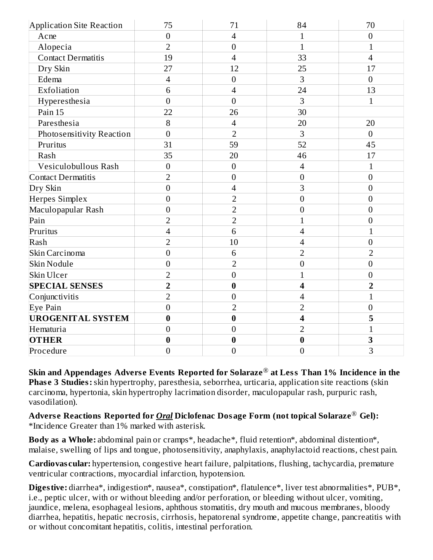| Application Site Reaction | 75             | 71               | 84                       | 70               |
|---------------------------|----------------|------------------|--------------------------|------------------|
| Acne                      | $\overline{0}$ | $\overline{4}$   | $\mathbf{1}$             | $\boldsymbol{0}$ |
| Alopecia                  | $\overline{2}$ | $\mathbf{0}$     | $\mathbf{1}$             | 1                |
| <b>Contact Dermatitis</b> | 19             | $\overline{4}$   | 33                       | $\overline{4}$   |
| Dry Skin                  | 27             | 12               | 25                       | 17               |
| Edema                     | $\overline{4}$ | $\overline{0}$   | 3                        | $\overline{0}$   |
| Exfoliation               | 6              | $\overline{4}$   | 24                       | 13               |
| Hyperesthesia             | $\overline{0}$ | $\overline{0}$   | 3                        | $\mathbf{1}$     |
| Pain 15                   | 22             | 26               | 30                       |                  |
| Paresthesia               | 8              | $\overline{4}$   | 20                       | 20               |
| Photosensitivity Reaction | $\overline{0}$ | $\overline{2}$   | 3                        | $\overline{0}$   |
| Pruritus                  | 31             | 59               | 52                       | 45               |
| Rash                      | 35             | 20               | 46                       | 17               |
| Vesiculobullous Rash      | $\overline{0}$ | $\mathbf{0}$     | $\overline{4}$           | $\mathbf{1}$     |
| Contact Dermatitis        | $\overline{2}$ | $\boldsymbol{0}$ | $\boldsymbol{0}$         | $\boldsymbol{0}$ |
| Dry Skin                  | $\overline{0}$ | $\overline{4}$   | 3                        | $\overline{0}$   |
| Herpes Simplex            | $\overline{0}$ | $\overline{2}$   | $\boldsymbol{0}$         | $\boldsymbol{0}$ |
| Maculopapular Rash        | $\overline{0}$ | $\overline{2}$   | $\boldsymbol{0}$         | $\mathbf{0}$     |
| Pain                      | $\overline{2}$ | $\overline{2}$   | $\mathbf{1}$             | $\boldsymbol{0}$ |
| Pruritus                  | $\overline{4}$ | 6                | $\overline{4}$           | $\overline{1}$   |
| Rash                      | $\overline{2}$ | 10               | 4                        | $\boldsymbol{0}$ |
| Skin Carcinoma            | $\overline{0}$ | 6                | $\overline{2}$           | $\overline{2}$   |
| Skin Nodule               | $\mathbf{0}$   | $\overline{2}$   | $\mathbf{0}$             | $\boldsymbol{0}$ |
| Skin Ulcer                | $\overline{2}$ | $\mathbf{0}$     | $\overline{1}$           | $\boldsymbol{0}$ |
| <b>SPECIAL SENSES</b>     | $\overline{2}$ | $\bf{0}$         | $\overline{\mathbf{4}}$  | $\overline{2}$   |
| Conjunctivitis            | $\overline{2}$ | $\mathbf{0}$     | $\overline{\mathcal{A}}$ | $\mathbf{1}$     |
| Eye Pain                  | $\overline{0}$ | $\overline{2}$   | $\overline{2}$           | $\boldsymbol{0}$ |
| <b>UROGENITAL SYSTEM</b>  | $\bf{0}$       | $\bf{0}$         | 4                        | 5                |
| Hematuria                 | $\mathbf{0}$   | $\mathbf{0}$     | $\overline{2}$           | $\mathbf{1}$     |
| <b>OTHER</b>              | $\bf{0}$       | $\bf{0}$         | $\bf{0}$                 | 3                |
| Procedure                 | $\overline{0}$ | $\overline{0}$   | $\mathbf{0}$             | $\overline{3}$   |

**Skin and Appendages Advers e Events Reported for Solaraze at Less Than 1% Incidence in the** ® **Phas e 3 Studies:**skin hypertrophy, paresthesia, seborrhea, urticaria, application site reactions (skin carcinoma, hypertonia, skin hypertrophy lacrimation disorder, maculopapular rash, purpuric rash, vasodilation).

**Advers e Reactions Reported for** *Oral* **Diclofenac Dosage Form (not topical Solaraze Gel):** ®\*Incidence Greater than 1% marked with asterisk.

**Body as a Whole:** abdominal pain or cramps\*, headache\*, fluid retention\*, abdominal distention\*, malaise, swelling of lips and tongue, photosensitivity, anaphylaxis, anaphylactoid reactions, chest pain.

**Cardiovas cular:** hypertension, congestive heart failure, palpitations, flushing, tachycardia, premature ventricular contractions, myocardial infarction, hypotension.

**Digestive:** diarrhea\*, indigestion\*, nausea\*, constipation\*, flatulence\*, liver test abnormalities\*, PUB\*, i.e., peptic ulcer, with or without bleeding and/or perforation, or bleeding without ulcer, vomiting, jaundice, melena, esophageal lesions, aphthous stomatitis, dry mouth and mucous membranes, bloody diarrhea, hepatitis, hepatic necrosis, cirrhosis, hepatorenal syndrome, appetite change, pancreatitis with or without concomitant hepatitis, colitis, intestinal perforation.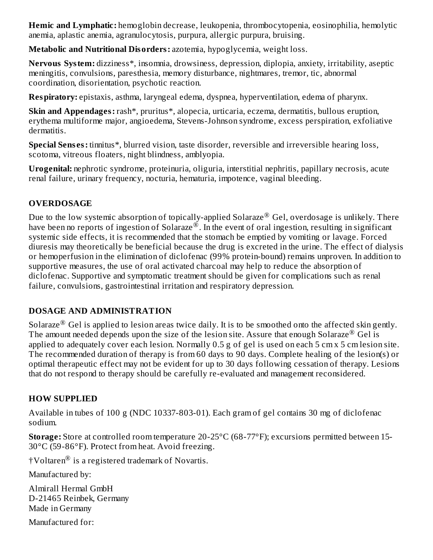**Hemic and Lymphatic:** hemoglobin decrease, leukopenia, thrombocytopenia, eosinophilia, hemolytic anemia, aplastic anemia, agranulocytosis, purpura, allergic purpura, bruising.

**Metabolic and Nutritional Disorders:** azotemia, hypoglycemia, weight loss.

**Nervous System:** dizziness\*, insomnia, drowsiness, depression, diplopia, anxiety, irritability, aseptic meningitis, convulsions, paresthesia, memory disturbance, nightmares, tremor, tic, abnormal coordination, disorientation, psychotic reaction.

**Respiratory:** epistaxis, asthma, laryngeal edema, dyspnea, hyperventilation, edema of pharynx.

**Skin and Appendages:** rash\*, pruritus\*, alopecia, urticaria, eczema, dermatitis, bullous eruption, erythema multiforme major, angioedema, Stevens-Johnson syndrome, excess perspiration, exfoliative dermatitis.

**Special Sens es:** tinnitus\*, blurred vision, taste disorder, reversible and irreversible hearing loss, scotoma, vitreous floaters, night blindness, amblyopia.

**Urogenital:** nephrotic syndrome, proteinuria, oliguria, interstitial nephritis, papillary necrosis, acute renal failure, urinary frequency, nocturia, hematuria, impotence, vaginal bleeding.

# **OVERDOSAGE**

Due to the low systemic absorption of topically-applied Solaraze $^\circledR$  Gel, overdosage is unlikely. There have been no reports of ingestion of Solaraze $^{\circledR}$ . In the event of oral ingestion, resulting in significant systemic side effects, it is recommended that the stomach be emptied by vomiting or lavage. Forced diuresis may theoretically be beneficial because the drug is excreted in the urine. The effect of dialysis or hemoperfusion in the elimination of diclofenac (99% protein-bound) remains unproven. In addition to supportive measures, the use of oral activated charcoal may help to reduce the absorption of diclofenac. Supportive and symptomatic treatment should be given for complications such as renal failure, convulsions, gastrointestinal irritation and respiratory depression.

# **DOSAGE AND ADMINISTRATION**

Solaraze $^{\circledR}$  Gel is applied to lesion areas twice daily. It is to be smoothed onto the affected skin gently. The amount needed depends upon the size of the lesion site. Assure that enough Solaraze<sup>®</sup> Gel is applied to adequately cover each lesion. Normally 0.5 g of gel is used on each 5 cm x 5 cm lesion site. The recommended duration of therapy is from 60 days to 90 days. Complete healing of the lesion(s) or optimal therapeutic effect may not be evident for up to 30 days following cessation of therapy. Lesions that do not respond to therapy should be carefully re-evaluated and management reconsidered.

# **HOW SUPPLIED**

Available in tubes of 100 g (NDC 10337-803-01). Each gram of gel contains 30 mg of diclofenac sodium.

**Storage:** Store at controlled room temperature 20-25°C (68-77°F); excursions permitted between 15- 30°C (59-86°F). Protect from heat. Avoid freezing.

†Voltaren $^{\circledR}$  is a registered trademark of Novartis.

Manufactured by:

Almirall Hermal GmbH D-21465 Reinbek, Germany Made in Germany

Manufactured for: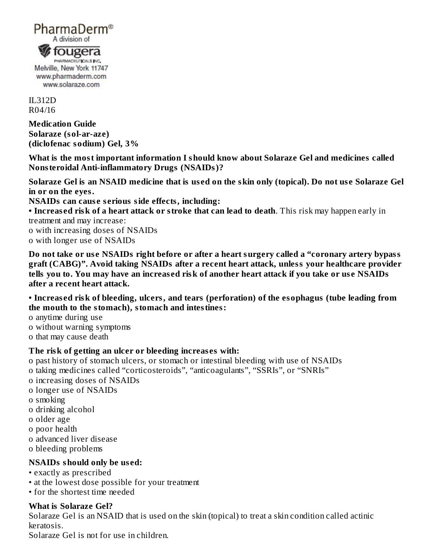

Melville, New York 11747 www.pharmaderm.com www.solaraze.com

IL312D R04/16

**Medication Guide Solaraze (sol-ar-aze) (diclofenac sodium) Gel, 3%**

**What is the most important information I should know about Solaraze Gel and medicines called Nonsteroidal Anti-inflammatory Drugs (NSAIDs)?**

Solaraze Gel is an NSAID medicine that is used on the skin only (topical). Do not use Solaraze Gel **in or on the eyes.**

**NSAIDs can caus e s erious side effects, including:**

**• Increas ed risk of a heart attack or stroke that can lead to death**. This risk may happen early in treatment and may increase:

o with increasing doses of NSAIDs o with longer use of NSAIDs

Do not take or use NSAIDs right before or after a heart surgery called a "coronary artery bypass **graft (CABG)". Avoid taking NSAIDs after a recent heart attack, unless your healthcare provider** tells you to. You may have an increased risk of another heart attack if you take or use NSAIDs **after a recent heart attack.**

**• Increas ed risk of bleeding, ulcers, and tears (perforation) of the esophagus (tube leading from the mouth to the stomach), stomach and intestines:**

o anytime during use

- o without warning symptoms
- o that may cause death

#### **The risk of getting an ulcer or bleeding increas es with:**

o past history of stomach ulcers, or stomach or intestinal bleeding with use of NSAIDs o taking medicines called "corticosteroids", "anticoagulants", "SSRIs", or "SNRIs"

- o increasing doses of NSAIDs
- o longer use of NSAIDs
- o smoking
- o drinking alcohol
- o older age
- o poor health
- o advanced liver disease
- o bleeding problems

#### **NSAIDs should only be us ed:**

- exactly as prescribed
- at the lowest dose possible for your treatment
- for the shortest time needed

#### **What is Solaraze Gel?**

Solaraze Gel is an NSAID that is used on the skin (topical) to treat a skin condition called actinic keratosis.

Solaraze Gel is not for use in children.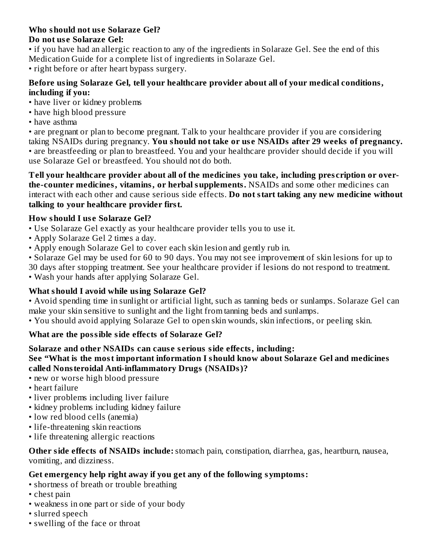# **Who should not us e Solaraze Gel?**

#### **Do not us e Solaraze Gel:**

• if you have had an allergic reaction to any of the ingredients in Solaraze Gel. See the end of this Medication Guide for a complete list of ingredients in Solaraze Gel. • right before or after heart bypass surgery.

#### **Before using Solaraze Gel, tell your healthcare provider about all of your medical conditions, including if you:**

- have liver or kidney problems
- have high blood pressure
- have asthma

• are pregnant or plan to become pregnant. Talk to your healthcare provider if you are considering taking NSAIDs during pregnancy. **You should not take or us e NSAIDs after 29 weeks of pregnancy.** • are breastfeeding or plan to breastfeed. You and your healthcare provider should decide if you will use Solaraze Gel or breastfeed. You should not do both.

**Tell your healthcare provider about all of the medicines you take, including pres cription or overthe-counter medicines, vitamins, or herbal supplements.** NSAIDs and some other medicines can interact with each other and cause serious side effects. **Do not start taking any new medicine without talking to your healthcare provider first.**

# **How should I us e Solaraze Gel?**

• Use Solaraze Gel exactly as your healthcare provider tells you to use it.

- Apply Solaraze Gel 2 times a day.
- Apply enough Solaraze Gel to cover each skin lesion and gently rub in.

• Solaraze Gel may be used for 60 to 90 days. You may not see improvement of skin lesions for up to 30 days after stopping treatment. See your healthcare provider if lesions do not respond to treatment.

• Wash your hands after applying Solaraze Gel.

# **What should I avoid while using Solaraze Gel?**

• Avoid spending time in sunlight or artificial light, such as tanning beds or sunlamps. Solaraze Gel can make your skin sensitive to sunlight and the light from tanning beds and sunlamps.

• You should avoid applying Solaraze Gel to open skin wounds, skin infections, or peeling skin.

# **What are the possible side effects of Solaraze Gel?**

# **Solaraze and other NSAIDs can caus e s erious side effects, including:**

#### **See "What is the most important information I should know about Solaraze Gel and medicines called Nonsteroidal Anti-inflammatory Drugs (NSAIDs)?**

- new or worse high blood pressure
- heart failure
- liver problems including liver failure
- kidney problems including kidney failure
- low red blood cells (anemia)
- life-threatening skin reactions
- life threatening allergic reactions

**Other side effects of NSAIDs include:**stomach pain, constipation, diarrhea, gas, heartburn, nausea, vomiting, and dizziness.

# **Get emergency help right away if you get any of the following symptoms:**

- shortness of breath or trouble breathing
- chest pain
- weakness in one part or side of your body
- slurred speech
- swelling of the face or throat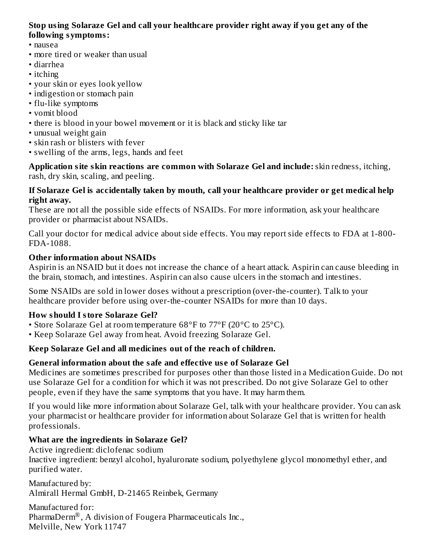#### **Stop using Solaraze Gel and call your healthcare provider right away if you get any of the following symptoms:**

- nausea
- more tired or weaker than usual
- diarrhea
- itching
- your skin or eyes look yellow
- indigestion or stomach pain
- flu-like symptoms
- vomit blood
- there is blood in your bowel movement or it is black and sticky like tar
- unusual weight gain
- skin rash or blisters with fever
- swelling of the arms, legs, hands and feet

**Application site skin reactions are common with Solaraze Gel and include:**skin redness, itching, rash, dry skin, scaling, and peeling.

#### **If Solaraze Gel is accidentally taken by mouth, call your healthcare provider or get medical help right away.**

These are not all the possible side effects of NSAIDs. For more information, ask your healthcare provider or pharmacist about NSAIDs.

Call your doctor for medical advice about side effects. You may report side effects to FDA at 1-800- FDA-1088.

# **Other information about NSAIDs**

Aspirin is an NSAID but it does not increase the chance of a heart attack. Aspirin can cause bleeding in the brain, stomach, and intestines. Aspirin can also cause ulcers in the stomach and intestines.

Some NSAIDs are sold in lower doses without a prescription (over-the-counter). Talk to your healthcare provider before using over-the-counter NSAIDs for more than 10 days.

# **How should I store Solaraze Gel?**

- Store Solaraze Gel at room temperature 68°F to 77°F (20°C to 25°C).
- Keep Solaraze Gel away from heat. Avoid freezing Solaraze Gel.

# **Keep Solaraze Gel and all medicines out of the reach of children.**

# **General information about the safe and effective us e of Solaraze Gel**

Medicines are sometimes prescribed for purposes other than those listed in a Medication Guide. Do not use Solaraze Gel for a condition for which it was not prescribed. Do not give Solaraze Gel to other people, even if they have the same symptoms that you have. It may harm them.

If you would like more information about Solaraze Gel, talk with your healthcare provider. You can ask your pharmacist or healthcare provider for information about Solaraze Gel that is written for health professionals.

# **What are the ingredients in Solaraze Gel?**

Active ingredient: diclofenac sodium Inactive ingredient: benzyl alcohol, hyaluronate sodium, polyethylene glycol monomethyl ether, and purified water.

Manufactured by: Almirall Hermal GmbH, D-21465 Reinbek, Germany

Manufactured for: PharmaDerm $^\circledR$ , A division of Fougera Pharmaceuticals Inc., Melville, New York 11747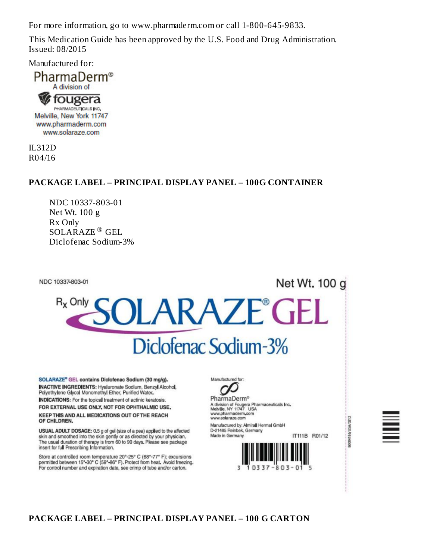For more information, go to www.pharmaderm.com or call 1-800-645-9833.

This Medication Guide has been approved by the U.S. Food and Drug Administration. Issued: 08/2015

Manufactured for:



IL312D R04/16

#### **PACKAGE LABEL – PRINCIPAL DISPLAY PANEL – 100G CONTAINER**

NDC 10337-803-01 Net Wt. 100 g Rx Only SOLARAZE<sup>®</sup> GEL Diclofenac Sodium-3%

NDC 10337-803-01

# Net Wt. 100 g



SOLARAZE® GEL contains Diclofenac Sodium (30 mg/g). **INACTIVE INGREDIENTS: Hyaluronate Sodium, Benzyl Alcohol,** Polyethylene Glycol Monomethyl Ether, Purified Water.

**INDICATIONS:** For the topical treatment of actinic keratosis. FOR EXTERNAL USE ONLY, NOT FOR OPHTHALMIC USE,

KEEP THIS AND ALL MEDICATIONS OUT OF THE REACH OF CHILDREN.

USUAL ADULT DOSAGE: 0.5 g of gel (size of a pea) applied to the affected skin and smoothed into the skin gently or as directed by your physician. The usual duration of therapy is from 60 to 90 days. Please see package insert for full Prescribing Information.

Store at controlled room temperature 20°-25° C (68°-77° F); excursions permitted between 15° 30° C (59°-86° F). Protect from heat. Avoid freezing. For control number and expiration date, see crimp of tube and/or carton.

Manufactured for:

**PharmaDerm®** A division of Fougera Pharmaceuticals Inc.<br>Melville, NY 11747 USA www.pharmaderm.com www.solaraze.com Manufactured by: Almirall Hermal GmbH

D-21465 Reinbek, Germany IT111B R01/12 Made in Germany





80004186/USA/0212

#### **PACKAGE LABEL – PRINCIPAL DISPLAY PANEL – 100 G CARTON**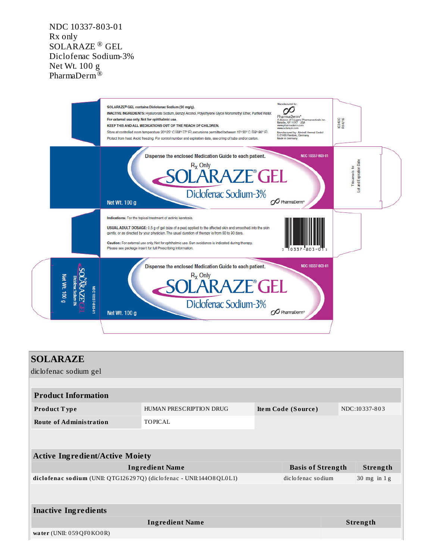NDC 10337-803-01 Rx only SOLARAZE<sup>®</sup> GEL Diclofenac Sodium-3% Net Wt. 100 g PharmaDerm<sup>T®</sup>



| HUMAN PRESCRIPTION DRUG |                                                                                                                                         |                    | NDC:10337-803                                 |
|-------------------------|-----------------------------------------------------------------------------------------------------------------------------------------|--------------------|-----------------------------------------------|
| <b>TOPICAL</b>          |                                                                                                                                         |                    |                                               |
|                         |                                                                                                                                         |                    |                                               |
|                         |                                                                                                                                         |                    |                                               |
|                         |                                                                                                                                         |                    | Strength                                      |
|                         |                                                                                                                                         |                    | $30$ mg in $1$ g                              |
|                         |                                                                                                                                         |                    |                                               |
|                         |                                                                                                                                         |                    |                                               |
| <b>Ingredient Name</b>  |                                                                                                                                         |                    | <b>Strength</b>                               |
|                         |                                                                                                                                         |                    |                                               |
|                         | <b>Active Ingredient/Active Moiety</b><br><b>Ingredient Name</b><br>diclofenac sodium (UNII: QTG126297Q) (diclofenac - UNII:144O8QL0L1) | Item Code (Source) | <b>Basis of Strength</b><br>diclofenac sodium |